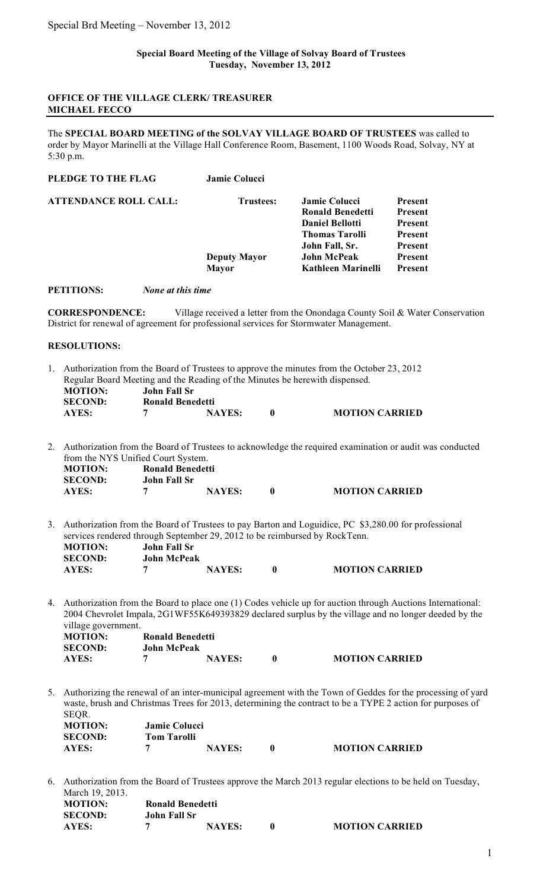## **OFFICE OF THE VILLAGE CLERK/ TREASURER MICHAEL FECCO**

The **SPECIAL BOARD MEETING of the SOLVAY VILLAGE BOARD OF TRUSTEES** was called to order by Mayor Marinelli at the Village Hall Conference Room, Basement, 1100 Woods Road, Solvay, NY at 5:30 p.m.

| <b>Jamie Colucci</b> |                        |                |
|----------------------|------------------------|----------------|
| <b>Trustees:</b>     | Jamie Colucci          | <b>Present</b> |
|                      | Ronald Benedetti       | <b>Present</b> |
|                      | <b>Daniel Bellotti</b> | <b>Present</b> |
|                      | <b>Thomas Tarolli</b>  | <b>Present</b> |
|                      | John Fall, Sr.         | <b>Present</b> |
| <b>Deputy Mayor</b>  | <b>John McPeak</b>     | <b>Present</b> |
| <b>Mayor</b>         | Kathleen Marinelli     | <b>Present</b> |
|                      |                        |                |

**PETITIONS:** *None at this time*

**CORRESPONDENCE:** Village received a letter from the Onondaga County Soil & Water Conservation District for renewal of agreement for professional services for Stormwater Management.

## **RESOLUTIONS:**

|                                                                              |                | 1. Authorization from the Board of Trustees to approve the minutes from the October 23, 2012 |               |              |                       |  |
|------------------------------------------------------------------------------|----------------|----------------------------------------------------------------------------------------------|---------------|--------------|-----------------------|--|
| Regular Board Meeting and the Reading of the Minutes be here with dispensed. |                |                                                                                              |               |              |                       |  |
|                                                                              | <b>MOTION:</b> | John Fall Sr                                                                                 |               |              |                       |  |
|                                                                              | <b>SECOND:</b> | <b>Ronald Benedetti</b>                                                                      |               |              |                       |  |
|                                                                              | AYES:          |                                                                                              | <b>NAYES:</b> | $\mathbf{0}$ | <b>MOTION CARRIED</b> |  |

- 2. Authorization from the Board of Trustees to acknowledge the required examination or audit was conducted from the NYS Unified Court System. **MOTION: Ronald Benedetti SECOND: John Fall Sr AYES: 7 NAYES: 0 MOTION CARRIED**
- 3. Authorization from the Board of Trustees to pay Barton and Loguidice, PC \$3,280.00 for professional services rendered through September 29, 2012 to be reimbursed by RockTenn.<br>MOTION: John Fall Sr **MOTION: John Fall Sr**

| <b>SECOND:</b> | <b>John McPeak</b> |               |  |                       |  |  |
|----------------|--------------------|---------------|--|-----------------------|--|--|
| <b>AYES:</b>   |                    | <b>NAYES:</b> |  | <b>MOTION CARRIED</b> |  |  |

4. Authorization from the Board to place one (1) Codes vehicle up for auction through Auctions International: 2004 Chevrolet Impala, 2G1WF55K649393829 declared surplus by the village and no longer deeded by the village government. **MOTION: Ronald Benedetti**

| MUTIUN.        |                    | Rohaid Dellegetti |                       |
|----------------|--------------------|-------------------|-----------------------|
| <b>SECOND:</b> | <b>John McPeak</b> |                   |                       |
| AYES:          |                    | <b>NAYES:</b>     | <b>MOTION CARRIED</b> |

5. Authorizing the renewal of an inter-municipal agreement with the Town of Geddes for the processing of yard waste, brush and Christmas Trees for 2013, determining the contract to be a TYPE 2 action for purposes of SEQR. **MOTION: Jamie Colucci**<br>**SECOND: Tom Taralli** 

| <b>SECOND:</b> | <b>Tom Tarolli</b> |               |                       |
|----------------|--------------------|---------------|-----------------------|
| AYES:          |                    | <b>NAYES:</b> | <b>MOTION CARRIED</b> |
|                |                    |               |                       |

6. Authorization from the Board of Trustees approve the March 2013 regular elections to be held on Tuesday, March 19, 2013.

| <b>MOTION:</b> | <b>Ronald Benedetti</b> |               |  |                       |  |
|----------------|-------------------------|---------------|--|-----------------------|--|
| <b>SECOND:</b> | John Fall Sr            |               |  |                       |  |
| AYES:          |                         | <b>NAYES:</b> |  | <b>MOTION CARRIED</b> |  |